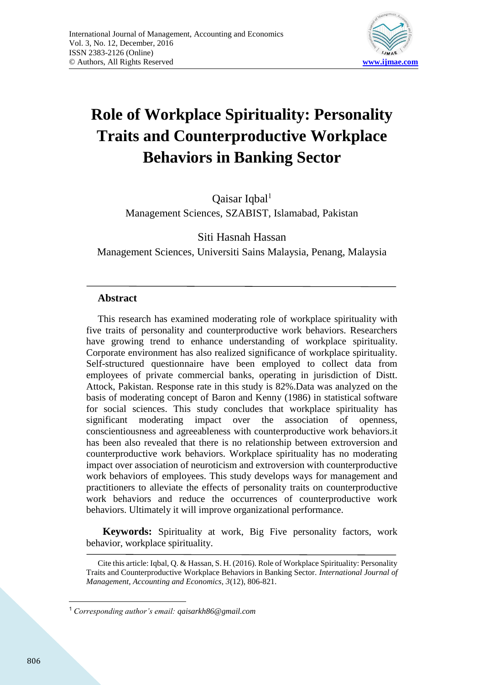

# **Role of Workplace Spirituality: Personality Traits and Counterproductive Workplace Behaviors in Banking Sector**

Qaisar Iqbal<sup>1</sup> Management Sciences, SZABIST, Islamabad, Pakistan

Siti Hasnah Hassan

Management Sciences, Universiti Sains Malaysia, Penang, Malaysia

# **Abstract**

This research has examined moderating role of workplace spirituality with five traits of personality and counterproductive work behaviors. Researchers have growing trend to enhance understanding of workplace spirituality. Corporate environment has also realized significance of workplace spirituality. Self-structured questionnaire have been employed to collect data from employees of private commercial banks, operating in jurisdiction of Distt. Attock, Pakistan. Response rate in this study is 82%.Data was analyzed on the basis of moderating concept of Baron and Kenny (1986) in statistical software for social sciences. This study concludes that workplace spirituality has significant moderating impact over the association of openness, conscientiousness and agreeableness with counterproductive work behaviors.it has been also revealed that there is no relationship between extroversion and counterproductive work behaviors. Workplace spirituality has no moderating impact over association of neuroticism and extroversion with counterproductive work behaviors of employees. This study develops ways for management and practitioners to alleviate the effects of personality traits on counterproductive work behaviors and reduce the occurrences of counterproductive work behaviors. Ultimately it will improve organizational performance.

 **Keywords:** Spirituality at work, Big Five personality factors, work behavior, workplace spirituality.

Cite this article: Iqbal, Q. & Hassan, S. H. (2016). Role of Workplace Spirituality: Personality Traits and Counterproductive Workplace Behaviors in Banking Sector. *International Journal of Management, Accounting and Economics, 3*(12), 806-821.

 $\overline{a}$ <sup>1</sup> *Corresponding author's email: qaisarkh86@gmail.com*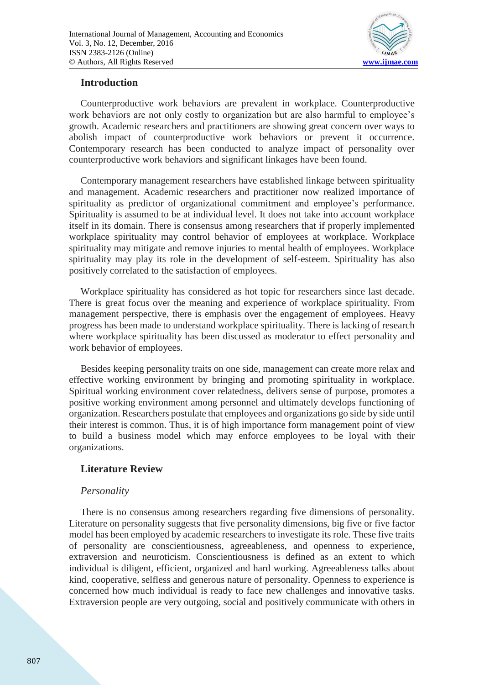

# **Introduction**

Counterproductive work behaviors are prevalent in workplace. Counterproductive work behaviors are not only costly to organization but are also harmful to employee's growth. Academic researchers and practitioners are showing great concern over ways to abolish impact of counterproductive work behaviors or prevent it occurrence. Contemporary research has been conducted to analyze impact of personality over counterproductive work behaviors and significant linkages have been found.

Contemporary management researchers have established linkage between spirituality and management. Academic researchers and practitioner now realized importance of spirituality as predictor of organizational commitment and employee's performance. Spirituality is assumed to be at individual level. It does not take into account workplace itself in its domain. There is consensus among researchers that if properly implemented workplace spirituality may control behavior of employees at workplace. Workplace spirituality may mitigate and remove injuries to mental health of employees. Workplace spirituality may play its role in the development of self-esteem. Spirituality has also positively correlated to the satisfaction of employees.

Workplace spirituality has considered as hot topic for researchers since last decade. There is great focus over the meaning and experience of workplace spirituality. From management perspective, there is emphasis over the engagement of employees. Heavy progress has been made to understand workplace spirituality. There is lacking of research where workplace spirituality has been discussed as moderator to effect personality and work behavior of employees.

Besides keeping personality traits on one side, management can create more relax and effective working environment by bringing and promoting spirituality in workplace. Spiritual working environment cover relatedness, delivers sense of purpose, promotes a positive working environment among personnel and ultimately develops functioning of organization. Researchers postulate that employees and organizations go side by side until their interest is common. Thus, it is of high importance form management point of view to build a business model which may enforce employees to be loyal with their organizations.

# **Literature Review**

# *Personality*

There is no consensus among researchers regarding five dimensions of personality. Literature on personality suggests that five personality dimensions, big five or five factor model has been employed by academic researchers to investigate its role. These five traits of personality are conscientiousness, agreeableness, and openness to experience, extraversion and neuroticism. Conscientiousness is defined as an extent to which individual is diligent, efficient, organized and hard working. Agreeableness talks about kind, cooperative, selfless and generous nature of personality. Openness to experience is concerned how much individual is ready to face new challenges and innovative tasks. Extraversion people are very outgoing, social and positively communicate with others in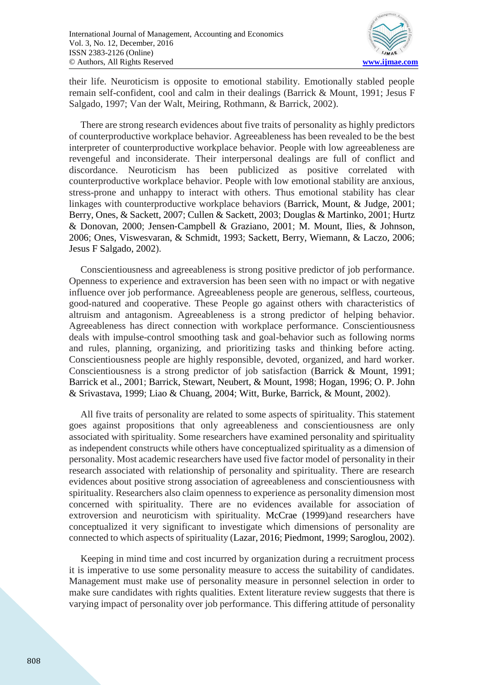

their life. Neuroticism is opposite to emotional stability. Emotionally stabled people remain self-confident, cool and calm in their dealings (Barrick & Mount, 1991; Jesus F Salgado, 1997; Van der Walt, Meiring, Rothmann, & Barrick, 2002).

There are strong research evidences about five traits of personality as highly predictors of counterproductive workplace behavior. Agreeableness has been revealed to be the best interpreter of counterproductive workplace behavior. People with low agreeableness are revengeful and inconsiderate. Their interpersonal dealings are full of conflict and discordance. Neuroticism has been publicized as positive correlated with counterproductive workplace behavior. People with low emotional stability are anxious, stress-prone and unhappy to interact with others. Thus emotional stability has clear linkages with counterproductive workplace behaviors (Barrick, Mount, & Judge, 2001; Berry, Ones, & Sackett, 2007; Cullen & Sackett, 2003; Douglas & Martinko, 2001; Hurtz & Donovan, 2000; Jensen‐Campbell & Graziano, 2001; M. Mount, Ilies, & Johnson, 2006; Ones, Viswesvaran, & Schmidt, 1993; Sackett, Berry, Wiemann, & Laczo, 2006; Jesus F Salgado, 2002).

Conscientiousness and agreeableness is strong positive predictor of job performance. Openness to experience and extraversion has been seen with no impact or with negative influence over job performance. Agreeableness people are generous, selfless, courteous, good-natured and cooperative. These People go against others with characteristics of altruism and antagonism. Agreeableness is a strong predictor of helping behavior. Agreeableness has direct connection with workplace performance. Conscientiousness deals with impulse-control smoothing task and goal-behavior such as following norms and rules, planning, organizing, and prioritizing tasks and thinking before acting. Conscientiousness people are highly responsible, devoted, organized, and hard worker. Conscientiousness is a strong predictor of job satisfaction (Barrick & Mount, 1991; Barrick et al., 2001; Barrick, Stewart, Neubert, & Mount, 1998; Hogan, 1996; O. P. John & Srivastava, 1999; Liao & Chuang, 2004; Witt, Burke, Barrick, & Mount, 2002).

All five traits of personality are related to some aspects of spirituality. This statement goes against propositions that only agreeableness and conscientiousness are only associated with spirituality. Some researchers have examined personality and spirituality as independent constructs while others have conceptualized spirituality as a dimension of personality. Most academic researchers have used five factor model of personality in their research associated with relationship of personality and spirituality. There are research evidences about positive strong association of agreeableness and conscientiousness with spirituality. Researchers also claim openness to experience as personality dimension most concerned with spirituality. There are no evidences available for association of extroversion and neuroticism with spirituality. McCrae (1999)and researchers have conceptualized it very significant to investigate which dimensions of personality are connected to which aspects of spirituality (Lazar, 2016; Piedmont, 1999; Saroglou, 2002).

Keeping in mind time and cost incurred by organization during a recruitment process it is imperative to use some personality measure to access the suitability of candidates. Management must make use of personality measure in personnel selection in order to make sure candidates with rights qualities. Extent literature review suggests that there is varying impact of personality over job performance. This differing attitude of personality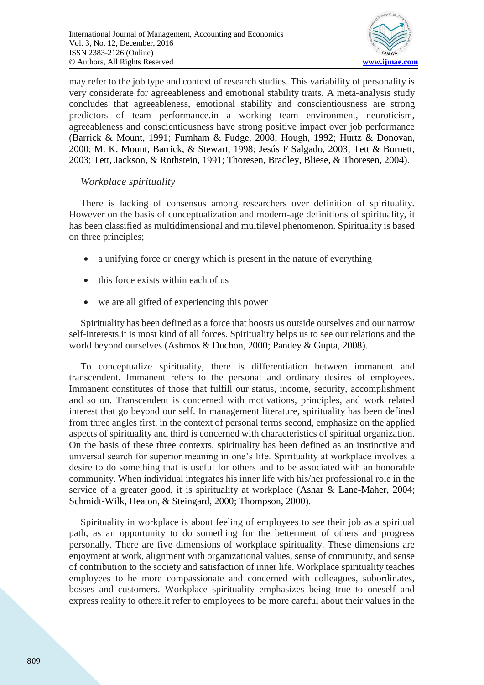

may refer to the job type and context of research studies. This variability of personality is very considerate for agreeableness and emotional stability traits. A meta-analysis study concludes that agreeableness, emotional stability and conscientiousness are strong predictors of team performance.in a working team environment, neuroticism, agreeableness and conscientiousness have strong positive impact over job performance (Barrick & Mount, 1991; Furnham & Fudge, 2008; Hough, 1992; Hurtz & Donovan, 2000; M. K. Mount, Barrick, & Stewart, 1998; Jesús F Salgado, 2003; Tett & Burnett, 2003; Tett, Jackson, & Rothstein, 1991; Thoresen, Bradley, Bliese, & Thoresen, 2004).

# *Workplace spirituality*

There is lacking of consensus among researchers over definition of spirituality. However on the basis of conceptualization and modern-age definitions of spirituality, it has been classified as multidimensional and multilevel phenomenon. Spirituality is based on three principles;

- a unifying force or energy which is present in the nature of everything
- this force exists within each of us
- we are all gifted of experiencing this power

Spirituality has been defined as a force that boosts us outside ourselves and our narrow self-interests.it is most kind of all forces. Spirituality helps us to see our relations and the world beyond ourselves (Ashmos & Duchon, 2000; Pandey & Gupta, 2008).

To conceptualize spirituality, there is differentiation between immanent and transcendent. Immanent refers to the personal and ordinary desires of employees. Immanent constitutes of those that fulfill our status, income, security, accomplishment and so on. Transcendent is concerned with motivations, principles, and work related interest that go beyond our self. In management literature, spirituality has been defined from three angles first, in the context of personal terms second, emphasize on the applied aspects of spirituality and third is concerned with characteristics of spiritual organization. On the basis of these three contexts, spirituality has been defined as an instinctive and universal search for superior meaning in one's life. Spirituality at workplace involves a desire to do something that is useful for others and to be associated with an honorable community. When individual integrates his inner life with his/her professional role in the service of a greater good, it is spirituality at workplace (Ashar & Lane-Maher, 2004; Schmidt-Wilk, Heaton, & Steingard, 2000; Thompson, 2000).

Spirituality in workplace is about feeling of employees to see their job as a spiritual path, as an opportunity to do something for the betterment of others and progress personally. There are five dimensions of workplace spirituality. These dimensions are enjoyment at work, alignment with organizational values, sense of community, and sense of contribution to the society and satisfaction of inner life. Workplace spirituality teaches employees to be more compassionate and concerned with colleagues, subordinates, bosses and customers. Workplace spirituality emphasizes being true to oneself and express reality to others.it refer to employees to be more careful about their values in the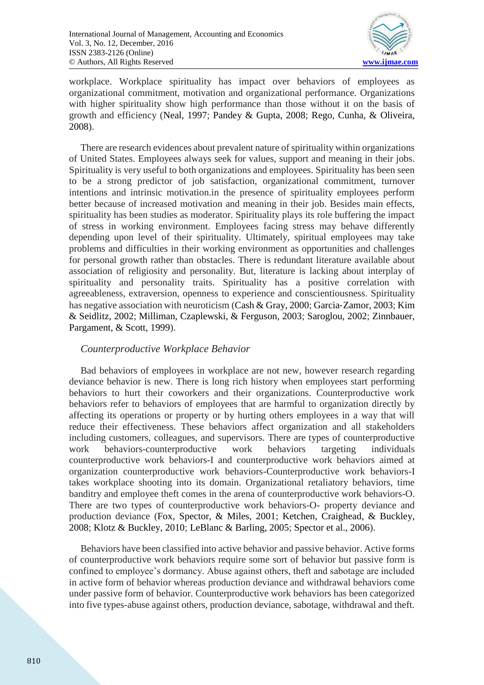

workplace. Workplace spirituality has impact over behaviors of employees as organizational commitment, motivation and organizational performance. Organizations with higher spirituality show high performance than those without it on the basis of growth and efficiency (Neal, 1997; Pandey & Gupta, 2008; Rego, Cunha, & Oliveira, 2008).

There are research evidences about prevalent nature of spirituality within organizations of United States. Employees always seek for values, support and meaning in their jobs. Spirituality is very useful to both organizations and employees. Spirituality has been seen to be a strong predictor of job satisfaction, organizational commitment, turnover intentions and intrinsic motivation.in the presence of spirituality employees perform better because of increased motivation and meaning in their job. Besides main effects, spirituality has been studies as moderator. Spirituality plays its role buffering the impact of stress in working environment. Employees facing stress may behave differently depending upon level of their spirituality. Ultimately, spiritual employees may take problems and difficulties in their working environment as opportunities and challenges for personal growth rather than obstacles. There is redundant literature available about association of religiosity and personality. But, literature is lacking about interplay of spirituality and personality traits. Spirituality has a positive correlation with agreeableness, extraversion, openness to experience and conscientiousness. Spirituality has negative association with neuroticism (Cash & Gray, 2000; Garcia‐Zamor, 2003; Kim & Seidlitz, 2002; Milliman, Czaplewski, & Ferguson, 2003; Saroglou, 2002; Zinnbauer, Pargament, & Scott, 1999).

# *Counterproductive Workplace Behavior*

Bad behaviors of employees in workplace are not new, however research regarding deviance behavior is new. There is long rich history when employees start performing behaviors to hurt their coworkers and their organizations. Counterproductive work behaviors refer to behaviors of employees that are harmful to organization directly by affecting its operations or property or by hurting others employees in a way that will reduce their effectiveness. These behaviors affect organization and all stakeholders including customers, colleagues, and supervisors. There are types of counterproductive work behaviors-counterproductive work behaviors targeting individuals counterproductive work behaviors-I and counterproductive work behaviors aimed at organization counterproductive work behaviors-Counterproductive work behaviors-I takes workplace shooting into its domain. Organizational retaliatory behaviors, time banditry and employee theft comes in the arena of counterproductive work behaviors-O. There are two types of counterproductive work behaviors-O- property deviance and production deviance (Fox, Spector, & Miles, 2001; Ketchen, Craighead, & Buckley, 2008; Klotz & Buckley, 2010; LeBlanc & Barling, 2005; Spector et al., 2006).

Behaviors have been classified into active behavior and passive behavior. Active forms of counterproductive work behaviors require some sort of behavior but passive form is confined to employee's dormancy. Abuse against others, theft and sabotage are included in active form of behavior whereas production deviance and withdrawal behaviors come under passive form of behavior. Counterproductive work behaviors has been categorized into five types-abuse against others, production deviance, sabotage, withdrawal and theft.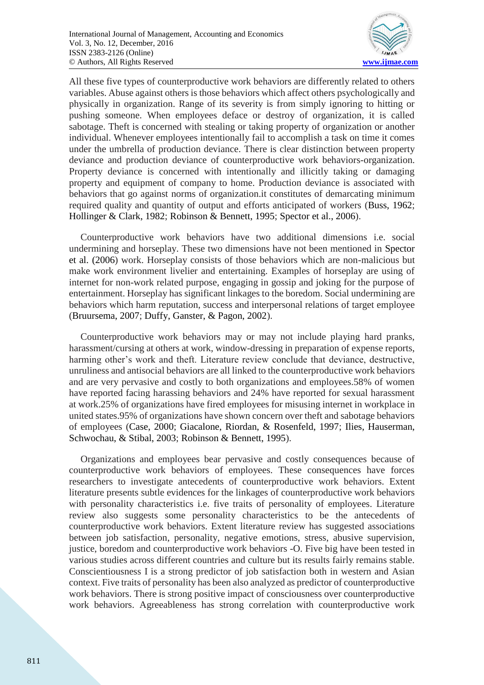

All these five types of counterproductive work behaviors are differently related to others variables. Abuse against others is those behaviors which affect others psychologically and physically in organization. Range of its severity is from simply ignoring to hitting or pushing someone. When employees deface or destroy of organization, it is called sabotage. Theft is concerned with stealing or taking property of organization or another individual. Whenever employees intentionally fail to accomplish a task on time it comes under the umbrella of production deviance. There is clear distinction between property deviance and production deviance of counterproductive work behaviors-organization. Property deviance is concerned with intentionally and illicitly taking or damaging property and equipment of company to home. Production deviance is associated with behaviors that go against norms of organization.it constitutes of demarcating minimum required quality and quantity of output and efforts anticipated of workers (Buss, 1962; Hollinger & Clark, 1982; Robinson & Bennett, 1995; Spector et al., 2006).

Counterproductive work behaviors have two additional dimensions i.e. social undermining and horseplay. These two dimensions have not been mentioned in Spector et al. (2006) work. Horseplay consists of those behaviors which are non-malicious but make work environment livelier and entertaining. Examples of horseplay are using of internet for non-work related purpose, engaging in gossip and joking for the purpose of entertainment. Horseplay has significant linkages to the boredom. Social undermining are behaviors which harm reputation, success and interpersonal relations of target employee (Bruursema, 2007; Duffy, Ganster, & Pagon, 2002).

Counterproductive work behaviors may or may not include playing hard pranks, harassment/cursing at others at work, window-dressing in preparation of expense reports, harming other's work and theft. Literature review conclude that deviance, destructive, unruliness and antisocial behaviors are all linked to the counterproductive work behaviors and are very pervasive and costly to both organizations and employees.58% of women have reported facing harassing behaviors and 24% have reported for sexual harassment at work.25% of organizations have fired employees for misusing internet in workplace in united states.95% of organizations have shown concern over theft and sabotage behaviors of employees (Case, 2000; Giacalone, Riordan, & Rosenfeld, 1997; Ilies, Hauserman, Schwochau, & Stibal, 2003; Robinson & Bennett, 1995).

Organizations and employees bear pervasive and costly consequences because of counterproductive work behaviors of employees. These consequences have forces researchers to investigate antecedents of counterproductive work behaviors. Extent literature presents subtle evidences for the linkages of counterproductive work behaviors with personality characteristics i.e. five traits of personality of employees. Literature review also suggests some personality characteristics to be the antecedents of counterproductive work behaviors. Extent literature review has suggested associations between job satisfaction, personality, negative emotions, stress, abusive supervision, justice, boredom and counterproductive work behaviors -O. Five big have been tested in various studies across different countries and culture but its results fairly remains stable. Conscientiousness I is a strong predictor of job satisfaction both in western and Asian context. Five traits of personality has been also analyzed as predictor of counterproductive work behaviors. There is strong positive impact of consciousness over counterproductive work behaviors. Agreeableness has strong correlation with counterproductive work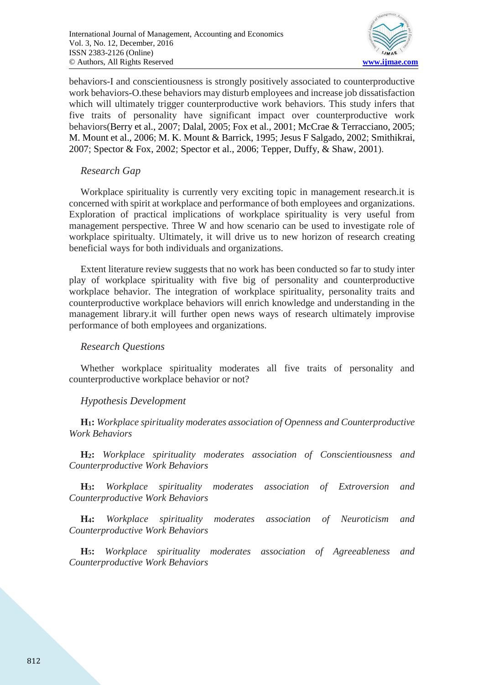

behaviors-I and conscientiousness is strongly positively associated to counterproductive work behaviors-O.these behaviors may disturb employees and increase job dissatisfaction which will ultimately trigger counterproductive work behaviors. This study infers that five traits of personality have significant impact over counterproductive work behaviors(Berry et al., 2007; Dalal, 2005; Fox et al., 2001; McCrae & Terracciano, 2005; M. Mount et al., 2006; M. K. Mount & Barrick, 1995; Jesus F Salgado, 2002; Smithikrai, 2007; Spector & Fox, 2002; Spector et al., 2006; Tepper, Duffy, & Shaw, 2001).

## *Research Gap*

Workplace spirituality is currently very exciting topic in management research.it is concerned with spirit at workplace and performance of both employees and organizations. Exploration of practical implications of workplace spirituality is very useful from management perspective. Three W and how scenario can be used to investigate role of workplace spiritualty. Ultimately, it will drive us to new horizon of research creating beneficial ways for both individuals and organizations.

Extent literature review suggests that no work has been conducted so far to study inter play of workplace spirituality with five big of personality and counterproductive workplace behavior. The integration of workplace spirituality, personality traits and counterproductive workplace behaviors will enrich knowledge and understanding in the management library.it will further open news ways of research ultimately improvise performance of both employees and organizations.

## *Research Questions*

Whether workplace spirituality moderates all five traits of personality and counterproductive workplace behavior or not?

# *Hypothesis Development*

**H1:** *Workplace spirituality moderates association of Openness and Counterproductive Work Behaviors*

**H2:** *Workplace spirituality moderates association of Conscientiousness and Counterproductive Work Behaviors*

**H3:** *Workplace spirituality moderates association of Extroversion and Counterproductive Work Behaviors*

**H4:** *Workplace spirituality moderates association of Neuroticism and Counterproductive Work Behaviors*

**H5:** *Workplace spirituality moderates association of Agreeableness and Counterproductive Work Behaviors*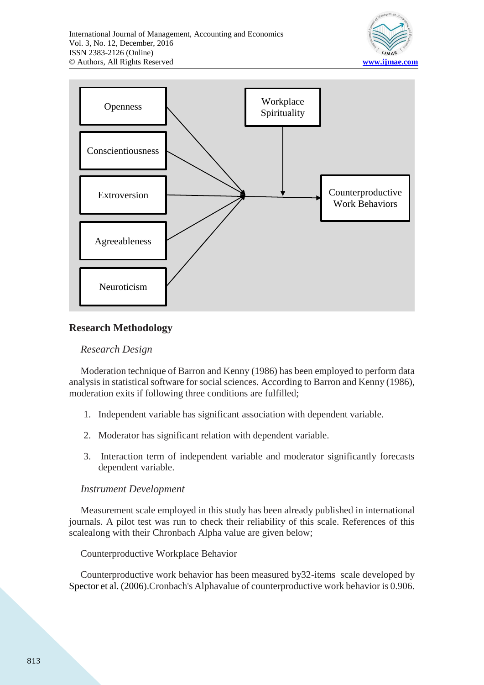



# **Research Methodology**

# *Research Design*

Moderation technique of Barron and Kenny (1986) has been employed to perform data analysis in statistical software for social sciences. According to Barron and Kenny (1986), moderation exits if following three conditions are fulfilled;

- 1. Independent variable has significant association with dependent variable.
- 2. Moderator has significant relation with dependent variable.
- 3. Interaction term of independent variable and moderator significantly forecasts dependent variable.

## *Instrument Development*

Measurement scale employed in this study has been already published in international journals. A pilot test was run to check their reliability of this scale. References of this scalealong with their Chronbach Alpha value are given below;

Counterproductive Workplace Behavior

Counterproductive work behavior has been measured by32-items scale developed by Spector et al. (2006).Cronbach's Alphavalue of counterproductive work behavior is 0.906.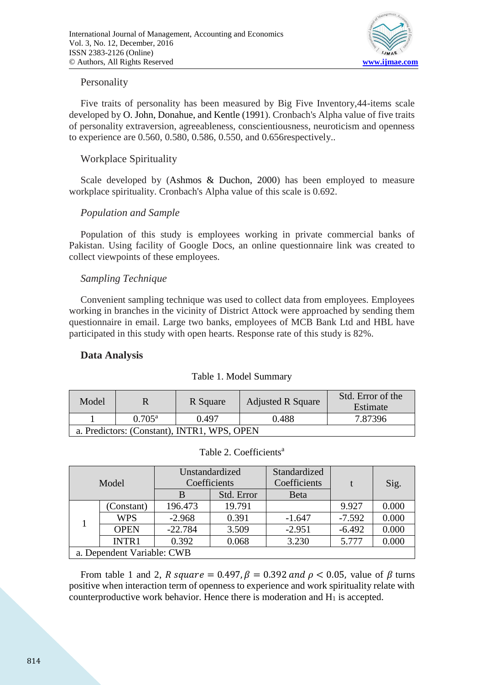

## Personality

Five traits of personality has been measured by Big Five Inventory,44-items scale developed by O. John, Donahue, and Kentle (1991). Cronbach's Alpha value of five traits of personality extraversion, agreeableness, conscientiousness, neuroticism and openness to experience are 0.560, 0.580, 0.586, 0.550, and 0.656respectively..

# Workplace Spirituality

Scale developed by (Ashmos & Duchon, 2000) has been employed to measure workplace spirituality. Cronbach's Alpha value of this scale is 0.692.

# *Population and Sample*

Population of this study is employees working in private commercial banks of Pakistan. Using facility of Google Docs, an online questionnaire link was created to collect viewpoints of these employees.

# *Sampling Technique*

Convenient sampling technique was used to collect data from employees. Employees working in branches in the vicinity of District Attock were approached by sending them questionnaire in email. Large two banks, employees of MCB Bank Ltd and HBL have participated in this study with open hearts. Response rate of this study is 82%.

# **Data Analysis**

| Model                                       |                 | R Square | <b>Adjusted R Square</b> | Std. Error of the<br>Estimate |  |  |
|---------------------------------------------|-----------------|----------|--------------------------|-------------------------------|--|--|
|                                             | $0.705^{\rm a}$ | 0.497    | 0.488                    | 7.87396                       |  |  |
| a. Predictors: (Constant), INTR1, WPS, OPEN |                 |          |                          |                               |  |  |

Table 1. Model Summary

| Model        |                            | Unstandardized |            | Standardized |          |       |  |
|--------------|----------------------------|----------------|------------|--------------|----------|-------|--|
|              |                            | Coefficients   |            | Coefficients |          | Sig.  |  |
|              |                            | B              | Std. Error | Beta         |          |       |  |
|              | (Constant)                 | 196.473        | 19.791     |              | 9.927    | 0.000 |  |
|              | <b>WPS</b>                 | $-2.968$       | 0.391      | $-1.647$     | $-7.592$ | 0.000 |  |
|              | <b>OPEN</b>                | $-22.784$      | 3.509      | $-2.951$     | $-6.492$ | 0.000 |  |
| <b>INTR1</b> |                            | 0.392          | 0.068      | 3.230        | 5.777    | 0.000 |  |
|              | a. Dependent Variable: CWB |                |            |              |          |       |  |

From table 1 and 2, R square = 0.497,  $\beta = 0.392$  and  $\rho < 0.05$ , value of  $\beta$  turns positive when interaction term of openness to experience and work spirituality relate with counterproductive work behavior. Hence there is moderation and  $H_1$  is accepted.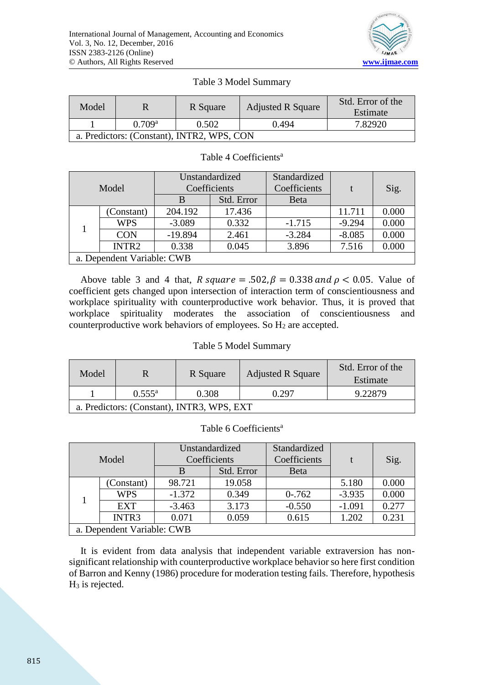

## Table 3 Model Summary

| Model                                      |                    | R Square | <b>Adjusted R Square</b> | Std. Error of the<br>Estimate |  |  |  |
|--------------------------------------------|--------------------|----------|--------------------------|-------------------------------|--|--|--|
|                                            | 0.709 <sup>a</sup> | 0.502    | 0.494                    | 7.82920                       |  |  |  |
| a. Predictors: (Constant), INTR2, WPS, CON |                    |          |                          |                               |  |  |  |

#### Table 4 Coefficients<sup>a</sup>

| Model             |                            | Unstandardized |            | Standardized |          |       |  |
|-------------------|----------------------------|----------------|------------|--------------|----------|-------|--|
|                   |                            | Coefficients   |            | Coefficients |          | Sig.  |  |
|                   |                            | B              | Std. Error | <b>Beta</b>  |          |       |  |
| (Constant)        |                            | 204.192        | 17.436     |              | 11.711   | 0.000 |  |
|                   | <b>WPS</b>                 | $-3.089$       | 0.332      | $-1.715$     | $-9.294$ | 0.000 |  |
| <b>CON</b>        |                            | $-19.894$      | 2.461      | $-3.284$     | $-8.085$ | 0.000 |  |
| INTR <sub>2</sub> |                            | 0.338          | 0.045      | 3.896        | 7.516    | 0.000 |  |
|                   | a. Dependent Variable: CWB |                |            |              |          |       |  |

Above table 3 and 4 that, R square = .502,  $\beta = 0.338$  and  $\rho < 0.05$ . Value of coefficient gets changed upon intersection of interaction term of conscientiousness and workplace spirituality with counterproductive work behavior. Thus, it is proved that workplace spirituality moderates the association of conscientiousness and counterproductive work behaviors of employees. So H<sub>2</sub> are accepted.

#### Table 5 Model Summary

| Model                                      |                 | R Square | <b>Adjusted R Square</b> | Std. Error of the<br>Estimate |  |  |  |
|--------------------------------------------|-----------------|----------|--------------------------|-------------------------------|--|--|--|
|                                            | $0.555^{\rm a}$ | 0.308    | 0.297                    | 9.22879                       |  |  |  |
| a. Predictors: (Constant), INTR3, WPS, EXT |                 |          |                          |                               |  |  |  |

## Table 6 Coefficients<sup>a</sup>

| Model |                            | Unstandardized<br>Coefficients |            | Standardized<br>Coefficients |          | Sig.  |  |
|-------|----------------------------|--------------------------------|------------|------------------------------|----------|-------|--|
|       |                            | B                              | Std. Error | <b>Beta</b>                  |          |       |  |
|       | (Constant)                 | 98.721                         | 19.058     |                              | 5.180    | 0.000 |  |
|       | <b>WPS</b>                 | $-1.372$                       | 0.349      | $0 - 762$                    | $-3.935$ | 0.000 |  |
|       | <b>EXT</b>                 | $-3.463$                       | 3.173      | $-0.550$                     | $-1.091$ | 0.277 |  |
| INTR3 |                            | 0.071                          | 0.059      | 0.615                        | 1.202    | 0.231 |  |
|       | a. Dependent Variable: CWB |                                |            |                              |          |       |  |

It is evident from data analysis that independent variable extraversion has nonsignificant relationship with counterproductive workplace behavior so here first condition of Barron and Kenny (1986) procedure for moderation testing fails. Therefore, hypothesis  $H_3$  is rejected.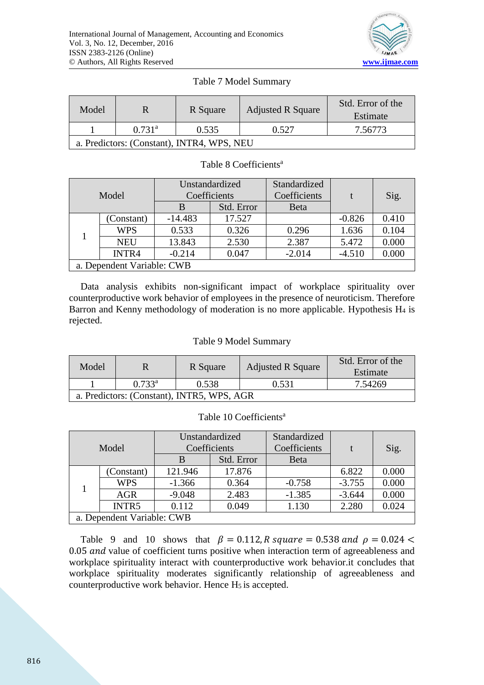

| Model                                      |                    | R Square | <b>Adjusted R Square</b> | Std. Error of the<br>Estimate |  |  |
|--------------------------------------------|--------------------|----------|--------------------------|-------------------------------|--|--|
|                                            | 0.731 <sup>a</sup> | 0.535    | 0.527                    | 7.56773                       |  |  |
| a. Predictors: (Constant), INTR4, WPS, NEU |                    |          |                          |                               |  |  |

#### Table 8 Coefficients<sup>a</sup>

| Model                      |            | Unstandardized<br>Coefficients |            | Standardized<br>Coefficients |          | Sig.  |
|----------------------------|------------|--------------------------------|------------|------------------------------|----------|-------|
|                            |            |                                | Std. Error | <b>Beta</b>                  |          |       |
| (Constant)                 |            | $-14.483$                      | 17.527     |                              | $-0.826$ | 0.410 |
|                            | <b>WPS</b> | 0.533                          | 0.326      | 0.296                        | 1.636    | 0.104 |
| <b>NEU</b>                 |            | 13.843                         | 2.530      | 2.387                        | 5.472    | 0.000 |
| INTR4                      |            | $-0.214$                       | 0.047      | $-2.014$                     | $-4.510$ | 0.000 |
| a. Dependent Variable: CWB |            |                                |            |                              |          |       |

Data analysis exhibits non-significant impact of workplace spirituality over counterproductive work behavior of employees in the presence of neuroticism. Therefore Barron and Kenny methodology of moderation is no more applicable. Hypothesis  $H_4$  is rejected.

#### Table 9 Model Summary

| Model                                      |                 | R Square | <b>Adjusted R Square</b> | Std. Error of the<br>Estimate |  |  |
|--------------------------------------------|-----------------|----------|--------------------------|-------------------------------|--|--|
|                                            | $0.733^{\rm a}$ | 0.538    | 0.531                    | 7.54269                       |  |  |
| a. Predictors: (Constant), INTR5, WPS, AGR |                 |          |                          |                               |  |  |

#### Table 10 Coefficients<sup>a</sup>

| Model |                            | Unstandardized<br>Coefficients |            | Standardized<br>Coefficients |          | Sig.  |  |  |
|-------|----------------------------|--------------------------------|------------|------------------------------|----------|-------|--|--|
|       |                            | B                              | Std. Error | <b>Beta</b>                  |          |       |  |  |
|       | (Constant)                 | 121.946                        | 17.876     |                              | 6.822    | 0.000 |  |  |
|       | <b>WPS</b>                 | $-1.366$                       | 0.364      | $-0.758$                     | $-3.755$ | 0.000 |  |  |
|       | <b>AGR</b>                 | $-9.048$                       | 2.483      | $-1.385$                     | $-3.644$ | 0.000 |  |  |
| INTR5 |                            | 0.112                          | 0.049      | 1.130                        | 2.280    | 0.024 |  |  |
|       | a. Dependent Variable: CWB |                                |            |                              |          |       |  |  |

Table 9 and 10 shows that  $\beta = 0.112$ , R square = 0.538 and  $\rho = 0.024$  <  $0.05$  and value of coefficient turns positive when interaction term of agreeableness and workplace spirituality interact with counterproductive work behavior.it concludes that workplace spirituality moderates significantly relationship of agreeableness and counterproductive work behavior. Hence  $H_5$  is accepted.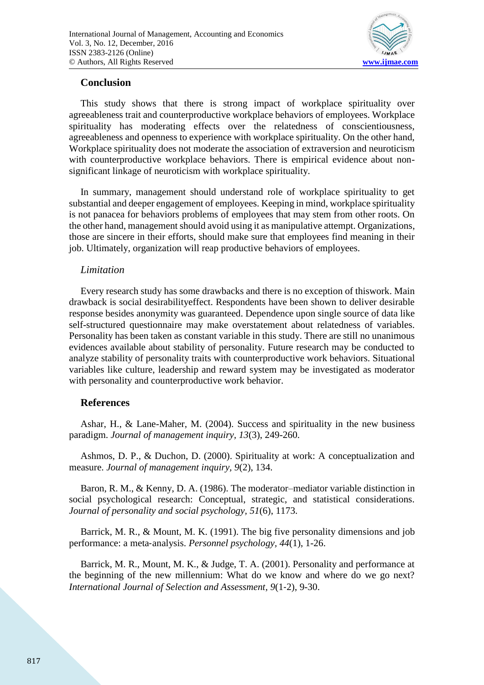

## **Conclusion**

This study shows that there is strong impact of workplace spirituality over agreeableness trait and counterproductive workplace behaviors of employees. Workplace spirituality has moderating effects over the relatedness of conscientiousness, agreeableness and openness to experience with workplace spirituality. On the other hand, Workplace spirituality does not moderate the association of extraversion and neuroticism with counterproductive workplace behaviors. There is empirical evidence about nonsignificant linkage of neuroticism with workplace spirituality.

In summary, management should understand role of workplace spirituality to get substantial and deeper engagement of employees. Keeping in mind, workplace spirituality is not panacea for behaviors problems of employees that may stem from other roots. On the other hand, management should avoid using it as manipulative attempt. Organizations, those are sincere in their efforts, should make sure that employees find meaning in their job. Ultimately, organization will reap productive behaviors of employees.

## *Limitation*

Every research study has some drawbacks and there is no exception of thiswork. Main drawback is social desirabilityeffect. Respondents have been shown to deliver desirable response besides anonymity was guaranteed. Dependence upon single source of data like self-structured questionnaire may make overstatement about relatedness of variables. Personality has been taken as constant variable in this study. There are still no unanimous evidences available about stability of personality. Future research may be conducted to analyze stability of personality traits with counterproductive work behaviors. Situational variables like culture, leadership and reward system may be investigated as moderator with personality and counterproductive work behavior.

# **References**

Ashar, H., & Lane-Maher, M. (2004). Success and spirituality in the new business paradigm. *Journal of management inquiry, 13*(3), 249-260.

Ashmos, D. P., & Duchon, D. (2000). Spirituality at work: A conceptualization and measure. *Journal of management inquiry, 9*(2), 134.

Baron, R. M., & Kenny, D. A. (1986). The moderator–mediator variable distinction in social psychological research: Conceptual, strategic, and statistical considerations. *Journal of personality and social psychology, 51*(6), 1173.

Barrick, M. R., & Mount, M. K. (1991). The big five personality dimensions and job performance: a meta‐analysis. *Personnel psychology, 44*(1), 1-26.

Barrick, M. R., Mount, M. K., & Judge, T. A. (2001). Personality and performance at the beginning of the new millennium: What do we know and where do we go next? *International Journal of Selection and Assessment, 9*(1‐2), 9-30.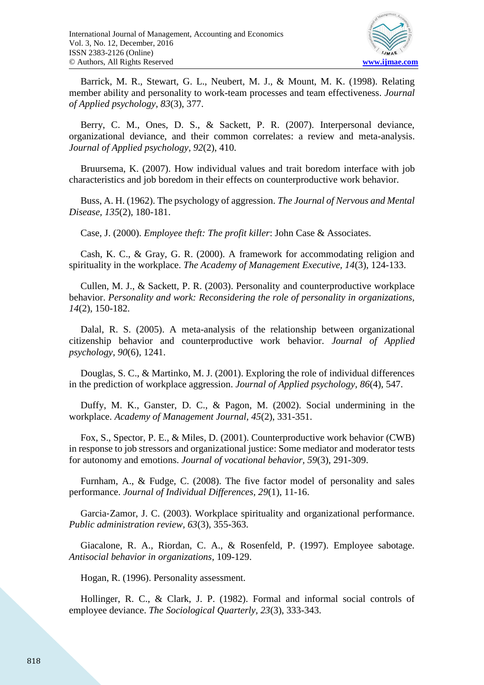

Barrick, M. R., Stewart, G. L., Neubert, M. J., & Mount, M. K. (1998). Relating member ability and personality to work-team processes and team effectiveness. *Journal of Applied psychology, 83*(3), 377.

Berry, C. M., Ones, D. S., & Sackett, P. R. (2007). Interpersonal deviance, organizational deviance, and their common correlates: a review and meta-analysis. *Journal of Applied psychology, 92*(2), 410.

Bruursema, K. (2007). How individual values and trait boredom interface with job characteristics and job boredom in their effects on counterproductive work behavior.

Buss, A. H. (1962). The psychology of aggression. *The Journal of Nervous and Mental Disease, 135*(2), 180-181.

Case, J. (2000). *Employee theft: The profit killer*: John Case & Associates.

Cash, K. C., & Gray, G. R. (2000). A framework for accommodating religion and spirituality in the workplace. *The Academy of Management Executive, 14*(3), 124-133.

Cullen, M. J., & Sackett, P. R. (2003). Personality and counterproductive workplace behavior. *Personality and work: Reconsidering the role of personality in organizations, 14*(2), 150-182.

Dalal, R. S. (2005). A meta-analysis of the relationship between organizational citizenship behavior and counterproductive work behavior. *Journal of Applied psychology, 90*(6), 1241.

Douglas, S. C., & Martinko, M. J. (2001). Exploring the role of individual differences in the prediction of workplace aggression. *Journal of Applied psychology, 86*(4), 547.

Duffy, M. K., Ganster, D. C., & Pagon, M. (2002). Social undermining in the workplace. *Academy of Management Journal, 45*(2), 331-351.

Fox, S., Spector, P. E., & Miles, D. (2001). Counterproductive work behavior (CWB) in response to job stressors and organizational justice: Some mediator and moderator tests for autonomy and emotions. *Journal of vocational behavior, 59*(3), 291-309.

Furnham, A., & Fudge, C. (2008). The five factor model of personality and sales performance. *Journal of Individual Differences, 29*(1), 11-16.

Garcia‐Zamor, J. C. (2003). Workplace spirituality and organizational performance. *Public administration review, 63*(3), 355-363.

Giacalone, R. A., Riordan, C. A., & Rosenfeld, P. (1997). Employee sabotage. *Antisocial behavior in organizations*, 109-129.

Hogan, R. (1996). Personality assessment.

Hollinger, R. C., & Clark, J. P. (1982). Formal and informal social controls of employee deviance. *The Sociological Quarterly, 23*(3), 333-343.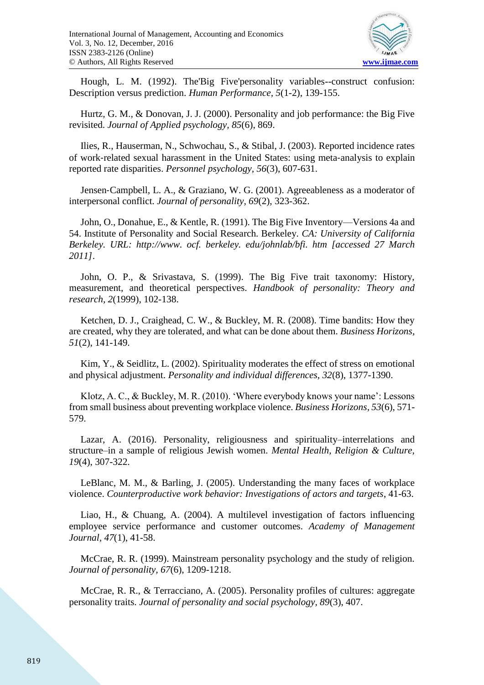

Hough, L. M. (1992). The'Big Five'personality variables--construct confusion: Description versus prediction. *Human Performance, 5*(1-2), 139-155.

Hurtz, G. M., & Donovan, J. J. (2000). Personality and job performance: the Big Five revisited. *Journal of Applied psychology, 85*(6), 869.

Ilies, R., Hauserman, N., Schwochau, S., & Stibal, J. (2003). Reported incidence rates of work‐related sexual harassment in the United States: using meta‐analysis to explain reported rate disparities. *Personnel psychology, 56*(3), 607-631.

Jensen‐Campbell, L. A., & Graziano, W. G. (2001). Agreeableness as a moderator of interpersonal conflict. *Journal of personality, 69*(2), 323-362.

John, O., Donahue, E., & Kentle, R. (1991). The Big Five Inventory—Versions 4a and 54. Institute of Personality and Social Research. Berkeley. *CA: University of California Berkeley. URL: http://www. ocf. berkeley. edu/johnlab/bfi. htm [accessed 27 March 2011]*.

John, O. P., & Srivastava, S. (1999). The Big Five trait taxonomy: History, measurement, and theoretical perspectives. *Handbook of personality: Theory and research, 2*(1999), 102-138.

Ketchen, D. J., Craighead, C. W., & Buckley, M. R. (2008). Time bandits: How they are created, why they are tolerated, and what can be done about them. *Business Horizons, 51*(2), 141-149.

Kim, Y., & Seidlitz, L. (2002). Spirituality moderates the effect of stress on emotional and physical adjustment. *Personality and individual differences, 32*(8), 1377-1390.

Klotz, A. C., & Buckley, M. R. (2010). 'Where everybody knows your name': Lessons from small business about preventing workplace violence. *Business Horizons, 53*(6), 571- 579.

Lazar, A. (2016). Personality, religiousness and spirituality–interrelations and structure–in a sample of religious Jewish women. *Mental Health, Religion & Culture, 19*(4), 307-322.

LeBlanc, M. M., & Barling, J. (2005). Understanding the many faces of workplace violence. *Counterproductive work behavior: Investigations of actors and targets*, 41-63.

Liao, H., & Chuang, A. (2004). A multilevel investigation of factors influencing employee service performance and customer outcomes. *Academy of Management Journal, 47*(1), 41-58.

McCrae, R. R. (1999). Mainstream personality psychology and the study of religion. *Journal of personality, 67*(6), 1209-1218.

McCrae, R. R., & Terracciano, A. (2005). Personality profiles of cultures: aggregate personality traits. *Journal of personality and social psychology, 89*(3), 407.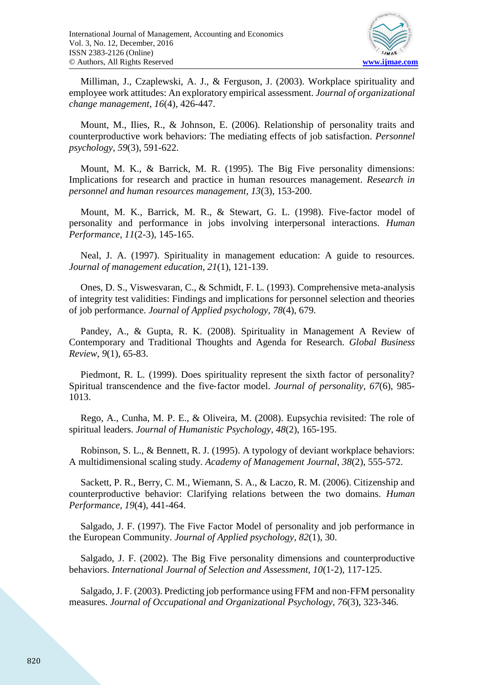

Milliman, J., Czaplewski, A. J., & Ferguson, J. (2003). Workplace spirituality and employee work attitudes: An exploratory empirical assessment. *Journal of organizational change management, 16*(4), 426-447.

Mount, M., Ilies, R., & Johnson, E. (2006). Relationship of personality traits and counterproductive work behaviors: The mediating effects of job satisfaction. *Personnel psychology, 59*(3), 591-622.

Mount, M. K., & Barrick, M. R. (1995). The Big Five personality dimensions: Implications for research and practice in human resources management. *Research in personnel and human resources management, 13*(3), 153-200.

Mount, M. K., Barrick, M. R., & Stewart, G. L. (1998). Five-factor model of personality and performance in jobs involving interpersonal interactions. *Human Performance, 11*(2-3), 145-165.

Neal, J. A. (1997). Spirituality in management education: A guide to resources. *Journal of management education, 21*(1), 121-139.

Ones, D. S., Viswesvaran, C., & Schmidt, F. L. (1993). Comprehensive meta-analysis of integrity test validities: Findings and implications for personnel selection and theories of job performance. *Journal of Applied psychology, 78*(4), 679.

Pandey, A., & Gupta, R. K. (2008). Spirituality in Management A Review of Contemporary and Traditional Thoughts and Agenda for Research. *Global Business Review, 9*(1), 65-83.

Piedmont, R. L. (1999). Does spirituality represent the sixth factor of personality? Spiritual transcendence and the five‐factor model. *Journal of personality, 67*(6), 985- 1013.

Rego, A., Cunha, M. P. E., & Oliveira, M. (2008). Eupsychia revisited: The role of spiritual leaders. *Journal of Humanistic Psychology, 48*(2), 165-195.

Robinson, S. L., & Bennett, R. J. (1995). A typology of deviant workplace behaviors: A multidimensional scaling study. *Academy of Management Journal, 38*(2), 555-572.

Sackett, P. R., Berry, C. M., Wiemann, S. A., & Laczo, R. M. (2006). Citizenship and counterproductive behavior: Clarifying relations between the two domains. *Human Performance, 19*(4), 441-464.

Salgado, J. F. (1997). The Five Factor Model of personality and job performance in the European Community. *Journal of Applied psychology, 82*(1), 30.

Salgado, J. F. (2002). The Big Five personality dimensions and counterproductive behaviors. *International Journal of Selection and Assessment, 10*(1‐2), 117-125.

Salgado, J. F. (2003). Predicting job performance using FFM and non‐FFM personality measures. *Journal of Occupational and Organizational Psychology, 76*(3), 323-346.